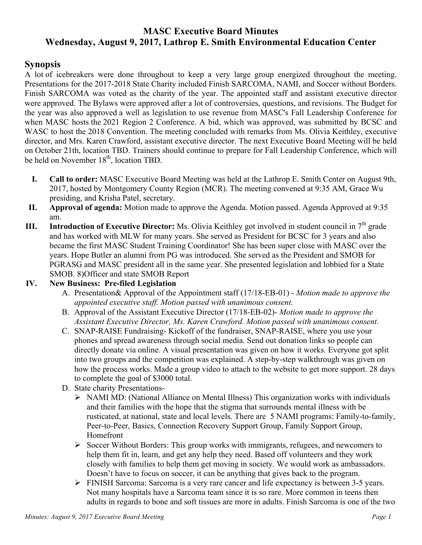# **MASC Executive Board Minutes Wednesday, August 9, 2017, Lathrop E. Smith Environmental Education Center**

### **Synopsis**

A lot of icebreakers were done throughout to keep a very large group energized throughout the meeting. Presentations for the 2017-2018 State Charity included Finish SARCOMA, NAMI, and Soccer without Borders. Finish SARCOMA was voted as the charity of the year. The appointed staff and assistant executive director were approved. The Bylaws were approved after a lot of controversies, questions, and revisions. The Budget for the year was also approved a well as legislation to use revenue from MASC's Fall Leadership Conference for when MASC hosts the 2021 Region 2 Conference. A bid, which was approved, was submitted by BCSC and WASC to host the 2018 Convention. The meeting concluded with remarks from Ms. Olivia Keithley, executive director, and Mrs. Karen Crawford, assistant executive director. The next Executive Board Meeting will be held on October 21th, location TBD. Trainers should continue to prepare for Fall Leadership Conference, which will be held on November 18<sup>th</sup>, location TBD.

- **I. Call to order:** MASC Executive Board Meeting was held at the Lathrop E. Smith Center on August 9th, 2017, hosted by Montgomery County Region (MCR). The meeting convened at 9:35 AM, Grace Wu presiding, and Krisha Patel, secretary.
- **II. Approval of agenda:** Motion made to approve the Agenda. Motion passed. Agenda Approved at 9:35 am.
- **III.** Introduction of Executive Director: Ms. Olivia Keithley got involved in student council in 7<sup>th</sup> grade and has worked with MLW for many years. She served as President for BCSC for 3 years and also became the first MASC Student Training Coordinator! She has been super close with MASC over the years. Hope Butler an alumni from PG was introduced. She served as the President and SMOB for PGRASG and MASC president all in the same year. She presented legislation and lobbied for a State SMOB. 8)Officer and state SMOB Report

#### **IV. New Business: Pre-filed Legislation**

- A. Presentation& Approval of the Appointment staff (17/18-EB-01) *Motion made to approve the appointed executive staff. Motion passed with unanimous consent.*
- B. Approval of the Assistant Executive Director (17/18-EB-02)- *Motion made to approve the Assistant Executive Director, Ms. Karen Crawford. Motion passed with unanimous consent.*
- C. SNAP-RAISE Fundraising- Kickoff of the fundraiser, SNAP-RAISE, where you use your phones and spread awareness through social media. Send out donation links so people can directly donate via online. A visual presentation was given on how it works. Everyone got split into two groups and the competition was explained. A step-by-step walkthrough was given on how the process works. Made a group video to attach to the website to get more support. 28 days to complete the goal of \$3000 total.
- D. State charity Presentations-
	- Ø NAMI MD: (National Alliance on Mental Illness) This organization works with individuals and their families with the hope that the stigma that surrounds mental illness with be rusticated, at national, state and local levels. There are 5 NAMI programs: Family-to-family, Peer-to-Peer, Basics, Connection Recovery Support Group, Family Support Group, Homefront
	- $\triangleright$  Soccer Without Borders: This group works with immigrants, refugees, and newcomers to help them fit in, learn, and get any help they need. Based off volunteers and they work closely with families to help them get moving in society. We would work as ambassadors. Doesn't have to focus on soccer, it can be anything that gives back to the program.
	- Ø FINISH Sarcoma: Sarcoma is a very rare cancer and life expectancy is between 3-5 years. Not many hospitals have a Sarcoma team since it is so rare. More common in teens then adults in regards to bone and soft tissues are more in adults. Finish Sarcoma is one of the two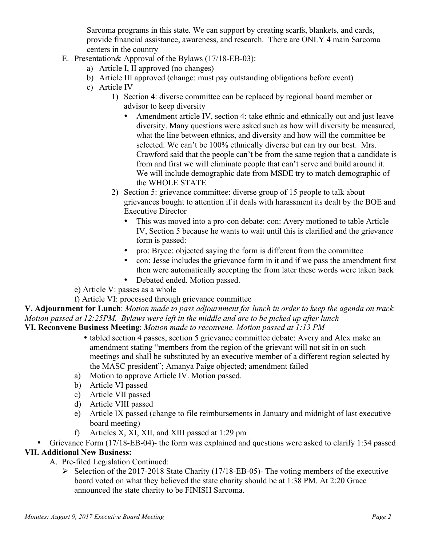Sarcoma programs in this state. We can support by creating scarfs, blankets, and cards, provide financial assistance, awareness, and research. There are ONLY 4 main Sarcoma centers in the country

- E. Presentation& Approval of the Bylaws (17/18-EB-03):
	- a) Article I, II approved (no changes)
	- b) Article III approved (change: must pay outstanding obligations before event)
	- c) Article IV
		- 1) Section 4: diverse committee can be replaced by regional board member or advisor to keep diversity
			- Amendment article IV, section 4: take ethnic and ethnically out and just leave diversity. Many questions were asked such as how will diversity be measured, what the line between ethnics, and diversity and how will the committee be selected. We can't be 100% ethnically diverse but can try our best. Mrs. Crawford said that the people can't be from the same region that a candidate is from and first we will eliminate people that can't serve and build around it. We will include demographic date from MSDE try to match demographic of the WHOLE STATE
		- 2) Section 5: grievance committee: diverse group of 15 people to talk about grievances bought to attention if it deals with harassment its dealt by the BOE and Executive Director
			- This was moved into a pro-con debate: con: Avery motioned to table Article IV, Section 5 because he wants to wait until this is clarified and the grievance form is passed:
			- pro: Bryce: objected saying the form is different from the committee
			- con: Jesse includes the grievance form in it and if we pass the amendment first then were automatically accepting the from later these words were taken back
			- Debated ended. Motion passed.
	- e) Article V: passes as a whole
	- f) Article VI: processed through grievance committee

**V. Adjournment for Lunch**: *Motion made to pass adjournment for lunch in order to keep the agenda on track. Motion passed at 12:25PM. Bylaws were left in the middle and are to be picked up after lunch*  **VI. Reconvene Business Meeting**: *Motion made to reconvene. Motion passed at 1:13 PM*

- tabled section 4 passes, section 5 grievance committee debate: Avery and Alex make an amendment stating "members from the region of the grievant will not sit in on such meetings and shall be substituted by an executive member of a different region selected by the MASC president"; Amanya Paige objected; amendment failed
- a) Motion to approve Article IV. Motion passed.
- b) Article VI passed
- c) Article VII passed
- d) Article VIII passed
- e) Article IX passed (change to file reimbursements in January and midnight of last executive board meeting)
- f) Articles X, XI, XII, and XIII passed at 1:29 pm
- Grievance Form (17/18-EB-04)- the form was explained and questions were asked to clarify 1:34 passed

#### **VII. Additional New Business:**

- A. Pre-filed Legislation Continued:
	- $\triangleright$  Selection of the 2017-2018 State Charity (17/18-EB-05)- The voting members of the executive board voted on what they believed the state charity should be at 1:38 PM. At 2:20 Grace announced the state charity to be FINISH Sarcoma.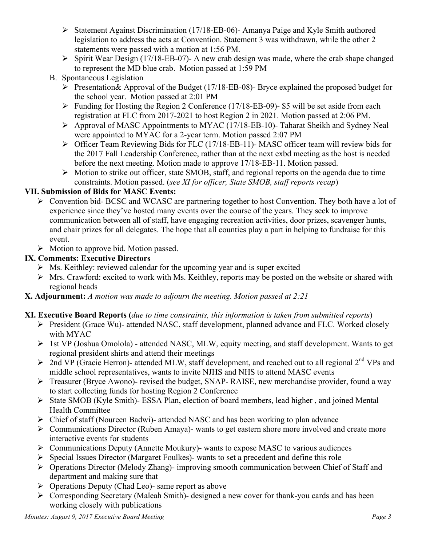- Ø Statement Against Discrimination (17/18-EB-06)- Amanya Paige and Kyle Smith authored legislation to address the acts at Convention. Statement 3 was withdrawn, while the other 2 statements were passed with a motion at 1:56 PM.
- $\triangleright$  Spirit Wear Design (17/18-EB-07)- A new crab design was made, where the crab shape changed to represent the MD blue crab. Motion passed at 1:59 PM
- B. Spontaneous Legislation
	- $\triangleright$  Presentation & Approval of the Budget (17/18-EB-08)- Bryce explained the proposed budget for the school year. Motion passed at 2:01 PM
	- $\triangleright$  Funding for Hosting the Region 2 Conference (17/18-EB-09)- \$5 will be set aside from each registration at FLC from 2017-2021 to host Region 2 in 2021. Motion passed at 2:06 PM.
	- Ø Approval of MASC Appointments to MYAC (17/18-EB-10)- Taharat Sheikh and Sydney Neal were appointed to MYAC for a 2-year term. Motion passed 2:07 PM
	- Ø Officer Team Reviewing Bids for FLC (17/18-EB-11)- MASC officer team will review bids for the 2017 Fall Leadership Conference, rather than at the next exbd meeting as the host is needed before the next meeting. Motion made to approve 17/18-EB-11. Motion passed.
	- $\triangleright$  Motion to strike out officer, state SMOB, staff, and regional reports on the agenda due to time constraints. Motion passed. (*see XI for officer, State SMOB, staff reports recap*)

### **VII. Submission of Bids for MASC Events:**

- Ø Convention bid- BCSC and WCASC are partnering together to host Convention. They both have a lot of experience since they've hosted many events over the course of the years. They seek to improve communication between all of staff, have engaging recreation activities, door prizes, scavenger hunts, and chair prizes for all delegates. The hope that all counties play a part in helping to fundraise for this event.
- $\triangleright$  Motion to approve bid. Motion passed.

## **IX. Comments: Executive Directors**

- $\triangleright$  Ms. Keithley: reviewed calendar for the upcoming year and is super excited
- $\triangleright$  Mrs. Crawford: excited to work with Ms. Keithley, reports may be posted on the website or shared with regional heads
- **X. Adjournment:** *A motion was made to adjourn the meeting. Motion passed at 2:21*

## **XI. Executive Board Reports (***due to time constraints, this information is taken from submitted reports*)

- Ø President (Grace Wu)- attended NASC, staff development, planned advance and FLC. Worked closely with MYAC
- $\triangleright$  1st VP (Joshua Omolola) attended NASC, MLW, equity meeting, and staff development. Wants to get regional president shirts and attend their meetings
- $\geq$  2nd VP (Gracie Herron)- attended MLW, staff development, and reached out to all regional 2<sup>nd</sup> VPs and middle school representatives, wants to invite NJHS and NHS to attend MASC events
- Ø Treasurer (Bryce Awono)- revised the budget, SNAP- RAISE, new merchandise provider, found a way to start collecting funds for hosting Region 2 Conference
- Ø State SMOB (Kyle Smith)- ESSA Plan, election of board members, lead higher , and joined Mental Health Committee
- $\triangleright$  Chief of staff (Noureen Badwi)- attended NASC and has been working to plan advance
- $\triangleright$  Communications Director (Ruben Amaya)- wants to get eastern shore more involved and create more interactive events for students
- $\triangleright$  Communications Deputy (Annette Moukury)- wants to expose MASC to various audiences
- $\triangleright$  Special Issues Director (Margaret Foulkes)- wants to set a precedent and define this role
- $\triangleright$  Operations Director (Melody Zhang)- improving smooth communication between Chief of Staff and department and making sure that
- $\triangleright$  Operations Deputy (Chad Leo)- same report as above
- Ø Corresponding Secretary (Maleah Smith)- designed a new cover for thank-you cards and has been working closely with publications